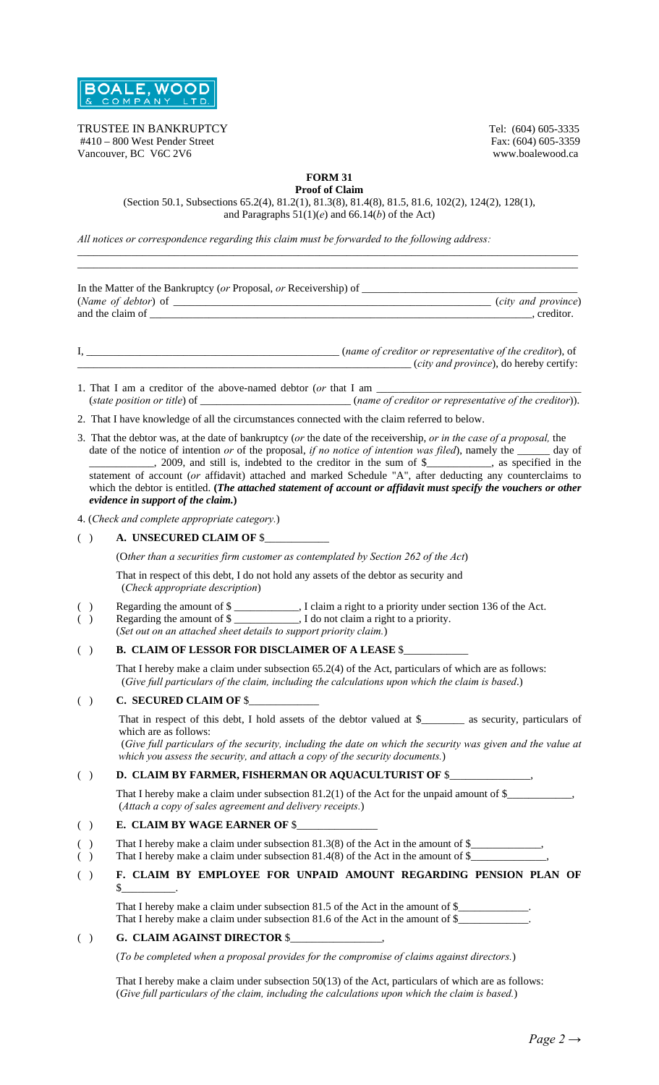

TRUSTEE IN BANKRUPTCY<br>
#410 – 800 West Pender Street<br>
Fax: (604) 605-3335 #410 – 800 West Pender Street Fax: (604) 605-3359<br>
Vancouver, BC V6C 2V6 www.boalewood.ca Vancouver, BC V6C 2V6

**FORM 31** 

**Proof of Claim**  (Section 50.1, Subsections 65.2(4), 81.2(1), 81.3(8), 81.4(8), 81.5, 81.6, 102(2), 124(2), 128(1), and Paragraphs 51(1)(*e*) and 66.14(*b*) of the Act)

 $\_$  ,  $\_$  ,  $\_$  ,  $\_$  ,  $\_$  ,  $\_$  ,  $\_$  ,  $\_$  ,  $\_$  ,  $\_$  ,  $\_$  ,  $\_$  ,  $\_$  ,  $\_$  ,  $\_$  ,  $\_$  ,  $\_$  ,  $\_$  ,  $\_$  ,  $\_$  ,  $\_$  ,  $\_$  ,  $\_$  ,  $\_$  ,  $\_$  ,  $\_$  ,  $\_$  ,  $\_$  ,  $\_$  ,  $\_$  ,  $\_$  ,  $\_$  ,  $\_$  ,  $\_$  ,  $\_$  ,  $\_$  ,  $\_$  ,

*All notices or correspondence regarding this claim must be forwarded to the following address:* 

|            | <i>city and province</i> ), do hereby certify:                                                                                                                                                                                                                                                                                                                                                                                                                                                                                                                                       |
|------------|--------------------------------------------------------------------------------------------------------------------------------------------------------------------------------------------------------------------------------------------------------------------------------------------------------------------------------------------------------------------------------------------------------------------------------------------------------------------------------------------------------------------------------------------------------------------------------------|
|            | $(\text{state position or title}) \text{ of } \underline{\hspace{2cm}}$ (name of creditor or representative of the creditor)).                                                                                                                                                                                                                                                                                                                                                                                                                                                       |
|            | 2. That I have knowledge of all the circumstances connected with the claim referred to below.                                                                                                                                                                                                                                                                                                                                                                                                                                                                                        |
|            | 3. That the debtor was, at the date of bankruptcy (or the date of the receivership, or in the case of a proposal, the<br>date of the notice of intention or of the proposal, if no notice of intention was filed), namely the ______ day of<br>2009, and still is, indebted to the creditor in the sum of \$<br>statement of account (or affidavit) attached and marked Schedule "A", after deducting any counterclaims to<br>which the debtor is entitled. (The attached statement of account or affidavit must specify the vouchers or other<br>evidence in support of the claim.) |
|            | 4. (Check and complete appropriate category.)                                                                                                                                                                                                                                                                                                                                                                                                                                                                                                                                        |
| ( )        | A. UNSECURED CLAIM OF \$                                                                                                                                                                                                                                                                                                                                                                                                                                                                                                                                                             |
|            | (Other than a securities firm customer as contemplated by Section 262 of the Act)                                                                                                                                                                                                                                                                                                                                                                                                                                                                                                    |
|            | That in respect of this debt, I do not hold any assets of the debtor as security and<br>(Check appropriate description)                                                                                                                                                                                                                                                                                                                                                                                                                                                              |
| ( )<br>( ) | Regarding the amount of \$<br>Regarding the amount of \$<br>(Set out on an attached sheet details to support priority claim.)                                                                                                                                                                                                                                                                                                                                                                                                                                                        |
| ( )        | <b>B. CLAIM OF LESSOR FOR DISCLAIMER OF A LEASE \$</b>                                                                                                                                                                                                                                                                                                                                                                                                                                                                                                                               |
|            | That I hereby make a claim under subsection 65.2(4) of the Act, particulars of which are as follows:<br>(Give full particulars of the claim, including the calculations upon which the claim is based.)                                                                                                                                                                                                                                                                                                                                                                              |
| ( )        | C. SECURED CLAIM OF \$                                                                                                                                                                                                                                                                                                                                                                                                                                                                                                                                                               |
|            | That in respect of this debt, I hold assets of the debtor valued at \$________ as security, particulars of<br>which are as follows:<br>(Give full particulars of the security, including the date on which the security was given and the value at<br>which you assess the security, and attach a copy of the security documents.)                                                                                                                                                                                                                                                   |
| ( )        | D. CLAIM BY FARMER, FISHERMAN OR AQUACULTURIST OF \$                                                                                                                                                                                                                                                                                                                                                                                                                                                                                                                                 |
|            | (Attach a copy of sales agreement and delivery receipts.)                                                                                                                                                                                                                                                                                                                                                                                                                                                                                                                            |
| ( )        | E. CLAIM BY WAGE EARNER OF \$                                                                                                                                                                                                                                                                                                                                                                                                                                                                                                                                                        |
|            | That I hereby make a claim under subsection $81.4(8)$ of the Act in the amount of \$                                                                                                                                                                                                                                                                                                                                                                                                                                                                                                 |
| ( )        | F. CLAIM BY EMPLOYEE FOR UNPAID AMOUNT REGARDING PENSION PLAN OF<br>$\frac{\text{S}}{\text{S}}$ .                                                                                                                                                                                                                                                                                                                                                                                                                                                                                    |
|            | That I hereby make a claim under subsection 81.5 of the Act in the amount of \$<br>That I hereby make a claim under subsection 81.6 of the Act in the amount of \$                                                                                                                                                                                                                                                                                                                                                                                                                   |
| ( )        | G. CLAIM AGAINST DIRECTOR \$                                                                                                                                                                                                                                                                                                                                                                                                                                                                                                                                                         |
|            | (To be completed when a proposal provides for the compromise of claims against directors.)                                                                                                                                                                                                                                                                                                                                                                                                                                                                                           |
|            | That I hereby make a claim under subsection $50(13)$ of the Act, particulars of which are as follows:                                                                                                                                                                                                                                                                                                                                                                                                                                                                                |

(*Give full particulars of the claim, including the calculations upon which the claim is based.*)